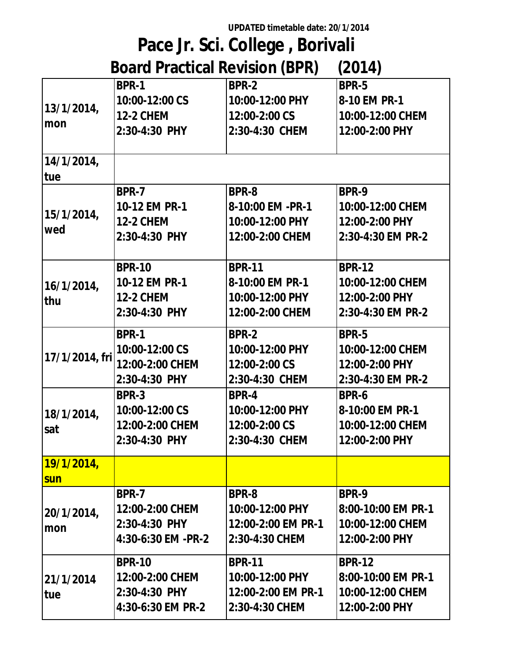**UPDATED timetable date: 20/1/2014**

## **Pace Jr. Sci. College , Borivali Board Practical Revision (BPR) (2014)**

| DUGI U I TAGUGAT KOMBIOTI (DI IV)<br>נדו טבן |                    |                    |                    |  |
|----------------------------------------------|--------------------|--------------------|--------------------|--|
| 13/1/2014,<br>mon                            | <b>BPR-1</b>       | <b>BPR-2</b>       | <b>BPR-5</b>       |  |
|                                              | 10:00-12:00 CS     | 10:00-12:00 PHY    | 8-10 EM PR-1       |  |
|                                              | <b>12-2 CHEM</b>   | 12:00-2:00 CS      | 10:00-12:00 CHEM   |  |
|                                              | 2:30-4:30 PHY      | 2:30-4:30 CHEM     | 12:00-2:00 PHY     |  |
|                                              |                    |                    |                    |  |
| 14/1/2014,                                   |                    |                    |                    |  |
| <b>tue</b>                                   |                    |                    |                    |  |
| 15/1/2014,<br>wed                            | <b>BPR-7</b>       | BPR-8              | <b>BPR-9</b>       |  |
|                                              | 10-12 EM PR-1      | 8-10:00 EM -PR-1   | 10:00-12:00 CHEM   |  |
|                                              | <b>12-2 CHEM</b>   | 10:00-12:00 PHY    | 12:00-2:00 PHY     |  |
|                                              | 2:30-4:30 PHY      | 12:00-2:00 CHEM    | 2:30-4:30 EM PR-2  |  |
|                                              |                    |                    |                    |  |
| 16/1/2014,<br>thu                            | <b>BPR-10</b>      | <b>BPR-11</b>      | <b>BPR-12</b>      |  |
|                                              | 10-12 EM PR-1      | 8-10:00 EM PR-1    | 10:00-12:00 CHEM   |  |
|                                              | <b>12-2 CHEM</b>   | 10:00-12:00 PHY    | 12:00-2:00 PHY     |  |
|                                              | 2:30-4:30 PHY      | 12:00-2:00 CHEM    | 2:30-4:30 EM PR-2  |  |
| 17/1/2014, fri                               | <b>BPR-1</b>       | <b>BPR-2</b>       | <b>BPR-5</b>       |  |
|                                              | 10:00-12:00 CS     | 10:00-12:00 PHY    | 10:00-12:00 CHEM   |  |
|                                              | 12:00-2:00 CHEM    | 12:00-2:00 CS      | 12:00-2:00 PHY     |  |
|                                              | 2:30-4:30 PHY      | 2:30-4:30 CHEM     | 2:30-4:30 EM PR-2  |  |
| 18/1/2014,<br>sat                            | <b>BPR-3</b>       | <b>BPR-4</b>       | BPR-6              |  |
|                                              | 10:00-12:00 CS     | 10:00-12:00 PHY    | 8-10:00 EM PR-1    |  |
|                                              | 12:00-2:00 CHEM    | 12:00-2:00 CS      | 10:00-12:00 CHEM   |  |
|                                              | 2:30-4:30 PHY      | 2:30-4:30 CHEM     | 12:00-2:00 PHY     |  |
| <u>19/1/2014,</u>                            |                    |                    |                    |  |
| <b>sun</b>                                   |                    |                    |                    |  |
| 20/1/2014,<br>mon                            | <b>BPR-7</b>       | BPR-8              | BPR-9              |  |
|                                              | 12:00-2:00 CHEM    | 10:00-12:00 PHY    | 8:00-10:00 EM PR-1 |  |
|                                              | 2:30-4:30 PHY      | 12:00-2:00 EM PR-1 | 10:00-12:00 CHEM   |  |
|                                              | 4:30-6:30 EM -PR-2 | 2:30-4:30 CHEM     | 12:00-2:00 PHY     |  |
|                                              | <b>BPR-10</b>      | <b>BPR-11</b>      | <b>BPR-12</b>      |  |
| 21/1/2014                                    | 12:00-2:00 CHEM    | 10:00-12:00 PHY    | 8:00-10:00 EM PR-1 |  |
| tue                                          | 2:30-4:30 PHY      | 12:00-2:00 EM PR-1 | 10:00-12:00 CHEM   |  |
|                                              | 4:30-6:30 EM PR-2  | 2:30-4:30 CHEM     | 12:00-2:00 PHY     |  |
|                                              |                    |                    |                    |  |